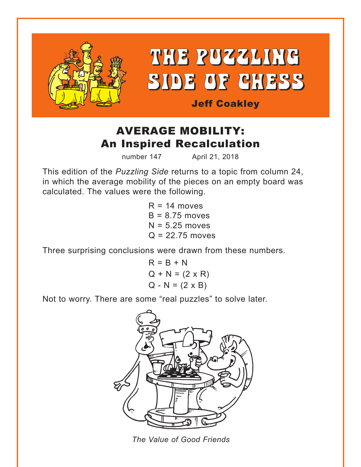

# AVERAGE MOBILITY: An Inspired Recalculation

number 147 April 21, 2018

This edition of the *Puzzling Side* returns to a topic from column 24, in which the average mobility of the pieces on an empty board was calculated. The values were the following.

> $R = 14$  moves  $B = 8.75$  moves  $N = 5.25$  moves  $Q = 22.75$  moves

Three surprising conclusions were drawn from these numbers.

$$
R = B + N
$$
  
Q + N = (2 x R)  
Q - N = (2 x B)

Not to worry. There are some "real puzzles" to solve later.



*The Value of Good Friends*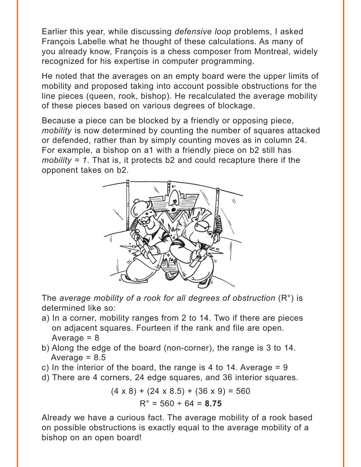Earlier this year, while discussing *defensive loop* problems, I asked François Labelle what he thought of these calculations. As many of you already know, François is a chess composer from Montreal, widely recognized for his expertise in computer programming.

He noted that the averages on an empty board were the upper limits of mobility and proposed taking into account possible obstructions for the line pieces (queen, rook, bishop). He recalculated the average mobility of these pieces based on various degrees of blockage.

Because a piece can be blocked by a friendly or opposing piece, *mobility* is now determined by counting the number of squares attacked or defended, rather than by simply counting moves as in column 24. For example, a bishop on a1 with a friendly piece on b2 still has *mobility = 1*. That is, it protects b2 and could recapture there if the opponent takes on b2.



The *average mobility of a rook for all degrees of obstruction* (R°) is determined like so:

- a) In a corner, mobility ranges from 2 to 14. Two if there are pieces on adjacent squares. Fourteen if the rank and file are open. Average  $= 8$
- b) Along the edge of the board (non-corner), the range is 3 to 14. Average  $= 8.5$
- c) In the interior of the board, the range is 4 to 14. Average  $= 9$
- d) There are 4 corners, 24 edge squares, and 36 interior squares.

$$
(4 \times 8) + (24 \times 8.5) + (36 \times 9) = 560
$$
  

$$
R^{\circ} = 560 \div 64 = 8.75
$$

Already we have a curious fact. The average mobility of a rook based on possible obstructions is exactly equal to the average mobility of a bishop on an open board!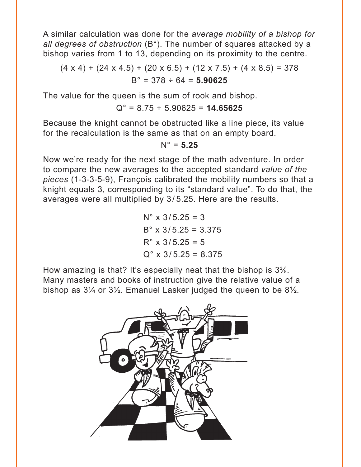A similar calculation was done for the *average mobility of a bishop for all degrees of obstruction* (B°). The number of squares attacked by a bishop varies from 1 to 13, depending on its proximity to the centre.

 $(4 \times 4) + (24 \times 4.5) + (20 \times 6.5) + (12 \times 7.5) + (4 \times 8.5) = 378$ B° = 378 ÷ 64 = **5.90625**

The value for the queen is the sum of rook and bishop.

$$
Q^{\circ} = 8.75 + 5.90625 = 14.65625
$$

Because the knight cannot be obstructed like a line piece, its value for the recalculation is the same as that on an empty board.

#### $N^{\circ} = 5.25$

Now we're ready for the next stage of the math adventure. In order to compare the new averages to the accepted standard *value of the pieces* (1-3-3-5-9), François calibrated the mobility numbers so that a knight equals 3, corresponding to its "standard value". To do that, the averages were all multiplied by 3/ 5.25. Here are the results.

> $N^{\circ}$  x 3/5.25 = 3  $B^{\circ}$  x 3/5.25 = 3.375  $R^{\circ}$  x 3/5.25 = 5  $Q^{\circ}$  x 3/5.25 = 8.375

How amazing is that? It's especially neat that the bishop is  $3\%$ . Many masters and books of instruction give the relative value of a bishop as 3¼ or 3½. Emanuel Lasker judged the queen to be 8½.

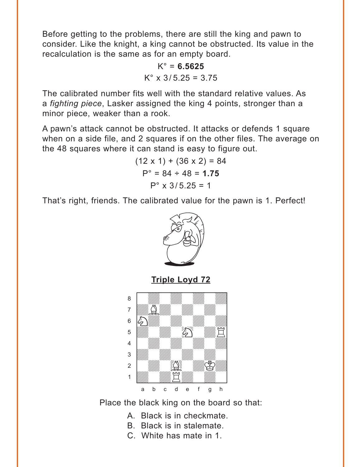<span id="page-3-0"></span>Before getting to the problems, there are still the king and pawn to consider. Like the knight, a king cannot be obstructed. Its value in the recalculation is the same as for an empty board.

> K° = **6.5625**  $K^{\circ}$  x 3/5.25 = 3.75

The calibrated number fits well with the standard relative values. As a *fighting piece*, Lasker assigned the king 4 points, stronger than a minor piece, weaker than a rook.

A pawn's attack cannot be obstructed. It attacks or defends 1 square when on a side file, and 2 squares if on the other files. The average on the 48 squares where it can stand is easy to figure out.

> $(12 \times 1) + (36 \times 2) = 84$  $P^{\circ} = 84 \div 48 = 1.75$  $P^{\circ}$  x 3/5.25 = 1

That's right, friends. The calibrated value for the pawn is 1. Perfect!



**[Triple Loyd 72](#page-6-0)**



Place the black king on the board so that:

- A. Black is in checkmate.
- B. Black is in stalemate.
- C. White has mate in 1.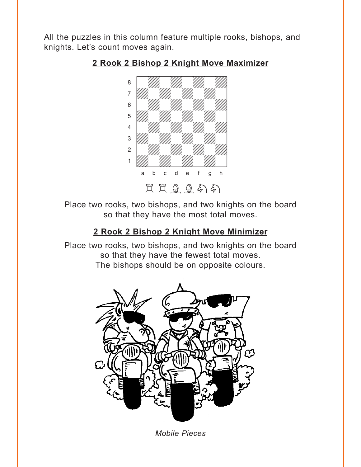<span id="page-4-0"></span>All the puzzles in this column feature multiple rooks, bishops, and knights. Let's count moves again.



#### **[2 Rook 2 Bishop 2 Knight Move Maximizer](#page-7-0)**

Place two rooks, two bishops, and two knights on the board so that they have the most total moves.

### **[2 Rook 2 Bishop 2 Knight Move Minimizer](#page-7-0)**

Place two rooks, two bishops, and two knights on the board so that they have the fewest total moves. The bishops should be on opposite colours.



*Mobile Pieces*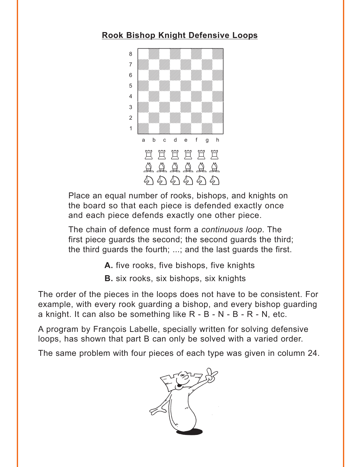## <span id="page-5-0"></span>**[Rook Bishop Knight Defensive Loops](#page-8-0)**



Place an equal number of rooks, bishops, and knights on the board so that each piece is defended exactly once and each piece defends exactly one other piece.

The chain of defence must form a *continuous loop*. The first piece guards the second; the second guards the third; the third guards the fourth; ...; and the last guards the first.

- **A.** [five rooks, five bishops, five knights](#page-8-0)
- **B.** [six rooks, six bishops, six knights](#page-9-0)

The order of the pieces in the loops does not have to be consistent. For example, with every rook guarding a bishop, and every bishop guarding a knight. It can also be something like R - B - N - B - R - N, etc.

A program by François Labelle, specially written for solving defensive loops, has shown that part B can only be solved with a varied order.

The same problem with four pieces of each type was given in column 24.

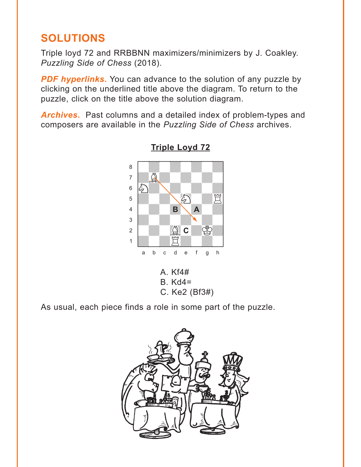# <span id="page-6-0"></span>**SOLUTIONS**

Triple loyd 72 and RRBBNN maximizers/minimizers by J. Coakley. *Puzzling Side of Chess* (2018).

**PDF hyperlinks.** You can advance to the solution of any puzzle by clicking on the underlined title above the diagram. To return to the puzzle, click on the title above the solution diagram.

*Archives***.** Past columns and a detailed index of problem-types and composers are available in the *Puzzling Side of Chess* archives.



**[Triple Loyd 72](#page-3-0)** where  $\frac{1}{2}$  is the set of  $\frac{1}{2}$  in the set of  $\frac{1}{2}$ 

B. Kd4= C. Ke2 (Bf3#)

As usual, each piece finds a role in some part of the puzzle.

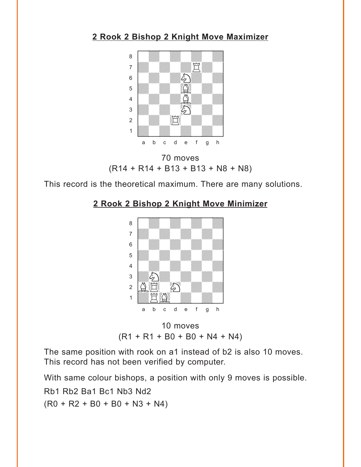### <span id="page-7-0"></span>**[2 Rook 2 Bishop 2 Knight Move Maximizer](#page-4-0)**



70 moves (R14 + R14 + B13 + B13 + N8 + N8)

This record is the theoretical maximum. There are many solutions.

### **[2 Rook 2 Bishop 2 Knight Move Minimizer](#page-4-0)**



10 moves  $(R1 + R1 + B0 + B0 + N4 + N4)$ 

The same position with rook on a1 instead of b2 is also 10 moves. This record has not been verified by computer.

With same colour bishops, a position with only 9 moves is possible. Rb1 Rb2 Ba1 Bc1 Nb3 Nd2  $(R0 + R2 + B0 + B0 + N3 + N4)$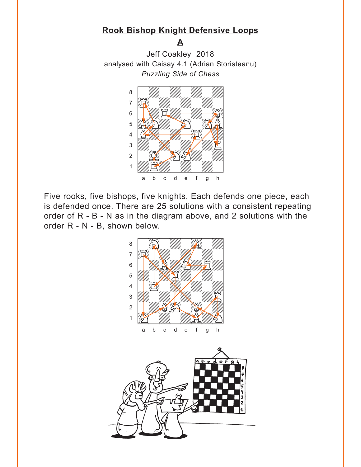### <span id="page-8-0"></span>**[Rook Bishop Knight Defensive Loops](#page-5-0)**

**A**

Jeff Coakley 2018 analysed with Caisay 4.1 (Adrian Storisteanu) *Puzzling Side of Chess*



Five rooks, five bishops, five knights. Each defends one piece, each is defended once. There are 25 solutions with a consistent repeating order of R - B - N as in the diagram above, and 2 solutions with the order R - N - B, shown below.